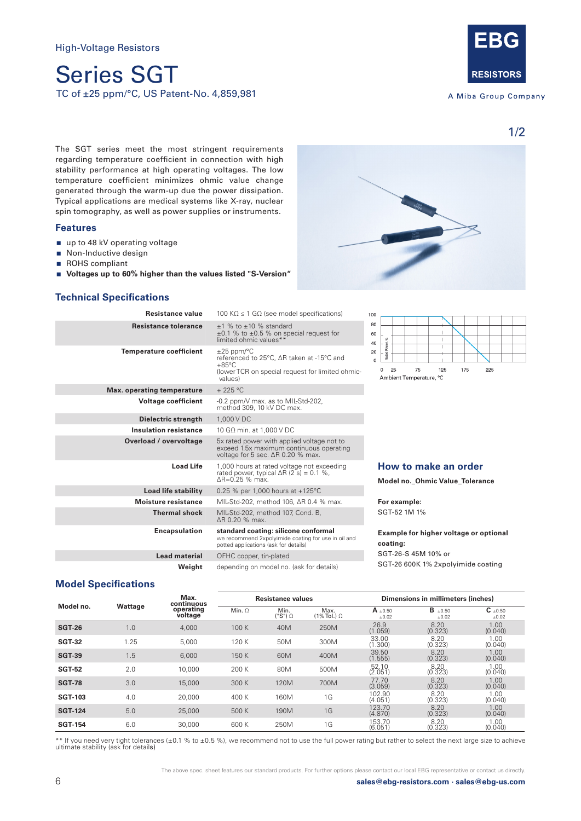# Series SGT TC of ±25 ppm/°C, US Patent-No. 4,859,981



A Miba Group Company

1/2

The SGT series meet the most stringent requirements regarding temperature coefficient in connection with high stability performance at high operating voltages. The low temperature coefficient minimizes ohmic value change generated through the warm-up due the power dissipation. Typical applications are medical systems like X-ray, nuclear spin tomography, as well as power supplies or instruments.

#### **Features**

- up to 48 kV operating voltage
- Non-Inductive design
- ROHS compliant
- **Voltages up to 60% higher than the values listed "S-Version"**

#### **Technical Specifications**

| Resistance value               | 100 K $\Omega \leq 1$ G $\Omega$ (see model specifications)                                                                                    | 100                                     |  |  |  |
|--------------------------------|------------------------------------------------------------------------------------------------------------------------------------------------|-----------------------------------------|--|--|--|
| <b>Resistance tolerance</b>    | $±1$ % to $±10$ % standard<br>$\pm 0.1$ % to $\pm 0.5$ % on special request for<br>limited ohmic values**                                      | 80<br>60<br>Rated Power, %<br>40        |  |  |  |
| <b>Temperature coefficient</b> | $\pm 25$ ppm/°C<br>referenced to 25°C. ΔR taken at -15°C and<br>$+85^{\circ}$ C<br>(lower TCR on special request for limited ohmic-<br>values) |                                         |  |  |  |
| Max. operating temperature     | $+225$ °C                                                                                                                                      |                                         |  |  |  |
| <b>Voltage coefficient</b>     | -0.2 ppm/V max. as to MIL-Std-202,<br>method 309, 10 kV DC max.                                                                                |                                         |  |  |  |
| Dielectric strength            | 1,000 V DC                                                                                                                                     |                                         |  |  |  |
| <b>Insulation resistance</b>   | 10 GΩ min. at 1.000 V DC                                                                                                                       |                                         |  |  |  |
| Overload / overvoltage         | 5x rated power with applied voltage not to<br>exceed 1.5x maximum continuous operating<br>voltage for 5 sec. ΔR 0.20 % max.                    |                                         |  |  |  |
| <b>Load Life</b>               | 1,000 hours at rated voltage not exceeding<br>rated power, typical $\Delta R$ (2 s) = 0.1 %,<br>$AR = 0.25$ % max.                             | How<br>Model                            |  |  |  |
| <b>Load life stability</b>     | 0.25 % per 1,000 hours at $+125^{\circ}$ C                                                                                                     |                                         |  |  |  |
| <b>Moisture resistance</b>     | MIL-Std-202, method 106, ∆R 0.4 % max.                                                                                                         | For ex                                  |  |  |  |
| <b>Thermal shock</b>           | MIL-Std-202, method 107, Cond. B,<br>AR 0.20 % max.                                                                                            | $SGT-52$                                |  |  |  |
| <b>Encapsulation</b>           | standard coating: silicone conformal<br>we recommend 2xpolyimide coating for use in oil and<br>potted applications (ask for details)           | Examp<br>coatin<br>$SGT-20$<br>$SGT-20$ |  |  |  |
| <b>Lead material</b>           | OFHC copper, tin-plated                                                                                                                        |                                         |  |  |  |
| Weiaht                         | depending on model no. (ask for details)                                                                                                       |                                         |  |  |  |



#### **How to make an order**

**Model no.\_Ohmic Value\_Tolerance** 

**For example:**  2 1M 1%

#### **Example for higher voltage or optional coating:** 6-S 45M 10% or

6 600K 1% 2xpolyimide coating

#### **Model Specifications**

|                | Wattage | Max.<br>continuous<br>operating<br>voltage | <b>Resistance values</b> |                 |                               | Dimensions in millimeters (inches) |                         |                              |
|----------------|---------|--------------------------------------------|--------------------------|-----------------|-------------------------------|------------------------------------|-------------------------|------------------------------|
| Model no.      |         |                                            | Min. $\Omega$            | Min.<br>("S") Ω | Max.<br>$(1\%$ Tol.) $\Omega$ | $A_{\pm 0.50}$<br>$\pm 0.02$       | $B_{\pm 0.50}$<br>±0.02 | $C_{\pm 0.50}$<br>$\pm 0.02$ |
| <b>SGT-26</b>  | 1.0     | 4,000                                      | 100 K                    | 40M             | 250M                          | 26.9<br>(1.059)                    | 8.20<br>(0.323)         | 1.00<br>(0.040)              |
| <b>SGT-32</b>  | 1.25    | 5.000                                      | 120 K                    | 50M             | 300M                          | 33.00<br>(1.300)                   | 8.20<br>(0.323)         | 1.00<br>(0.040)              |
| <b>SGT-39</b>  | 1.5     | 6,000                                      | 150 K                    | 60M             | 400M                          | 39.50<br>(1.555)                   | 8.20<br>(0.323)         | 1.00<br>(0.040)              |
| <b>SGT-52</b>  | 2.0     | 10,000                                     | 200 K                    | 80M             | 500M                          | 52.10<br>(2.051)                   | 8.20<br>(0.323)         | 1.00<br>(0.040)              |
| <b>SGT-78</b>  | 3.0     | 15,000                                     | 300 K                    | 120M            | 700M                          | 77.70<br>(3.059)                   | 8.20<br>(0.323)         | 1.00<br>(0.040)              |
| <b>SGT-103</b> | 4.0     | 20,000                                     | 400 K                    | 160M            | 1G                            | 102.90<br>(4.051)                  | 8.20<br>(0.323)         | 1.00<br>(0.040)              |
| <b>SGT-124</b> | 5.0     | 25,000                                     | 500 K                    | 190M            | 1G                            | 123.70<br>(4.870)                  | 8.20<br>(0.323)         | 1.00<br>(0.040)              |
| <b>SGT-154</b> | 6.0     | 30,000                                     | 600 K                    | 250M            | 1G                            | 153.70<br>(6.051)                  | 8.20<br>(0.323)         | 1.00<br>(0.040)              |

\*\* If you need very tight tolerances (±0.1 % to ±0.5 %), we recommend not to use the full power rating but rather to select the next large size to achieve ultimate stability (ask for details)